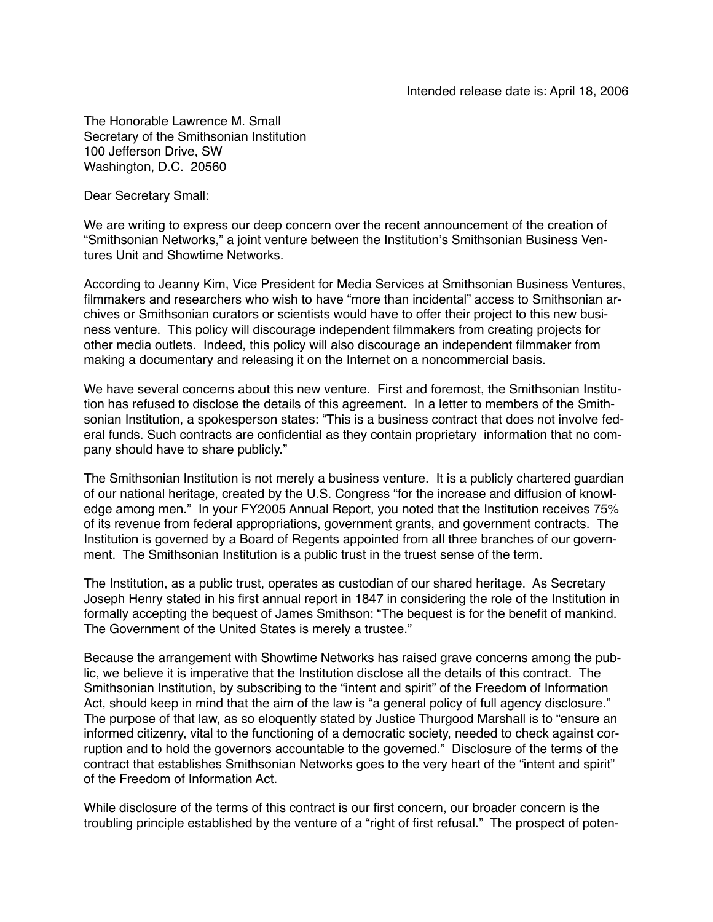The Honorable Lawrence M. Small Secretary of the Smithsonian Institution 100 Jefferson Drive, SW Washington, D.C. 20560

Dear Secretary Small:

We are writing to express our deep concern over the recent announcement of the creation of "Smithsonian Networks," a joint venture between the Institution's Smithsonian Business Ventures Unit and Showtime Networks.

According to Jeanny Kim, Vice President for Media Services at Smithsonian Business Ventures, filmmakers and researchers who wish to have "more than incidental" access to Smithsonian archives or Smithsonian curators or scientists would have to offer their project to this new business venture. This policy will discourage independent filmmakers from creating projects for other media outlets. Indeed, this policy will also discourage an independent filmmaker from making a documentary and releasing it on the Internet on a noncommercial basis.

We have several concerns about this new venture. First and foremost, the Smithsonian Institution has refused to disclose the details of this agreement. In a letter to members of the Smithsonian Institution, a spokesperson states: "This is a business contract that does not involve federal funds. Such contracts are confidential as they contain proprietary information that no company should have to share publicly."

The Smithsonian Institution is not merely a business venture. It is a publicly chartered guardian of our national heritage, created by the U.S. Congress "for the increase and diffusion of knowledge among men." In your FY2005 Annual Report, you noted that the Institution receives 75% of its revenue from federal appropriations, government grants, and government contracts. The Institution is governed by a Board of Regents appointed from all three branches of our government. The Smithsonian Institution is a public trust in the truest sense of the term.

The Institution, as a public trust, operates as custodian of our shared heritage. As Secretary Joseph Henry stated in his first annual report in 1847 in considering the role of the Institution in formally accepting the bequest of James Smithson: "The bequest is for the benefit of mankind. The Government of the United States is merely a trustee."

Because the arrangement with Showtime Networks has raised grave concerns among the public, we believe it is imperative that the Institution disclose all the details of this contract. The Smithsonian Institution, by subscribing to the "intent and spirit" of the Freedom of Information Act, should keep in mind that the aim of the law is "a general policy of full agency disclosure." The purpose of that law, as so eloquently stated by Justice Thurgood Marshall is to "ensure an informed citizenry, vital to the functioning of a democratic society, needed to check against corruption and to hold the governors accountable to the governed." Disclosure of the terms of the contract that establishes Smithsonian Networks goes to the very heart of the "intent and spirit" of the Freedom of Information Act.

While disclosure of the terms of this contract is our first concern, our broader concern is the troubling principle established by the venture of a "right of first refusal." The prospect of poten